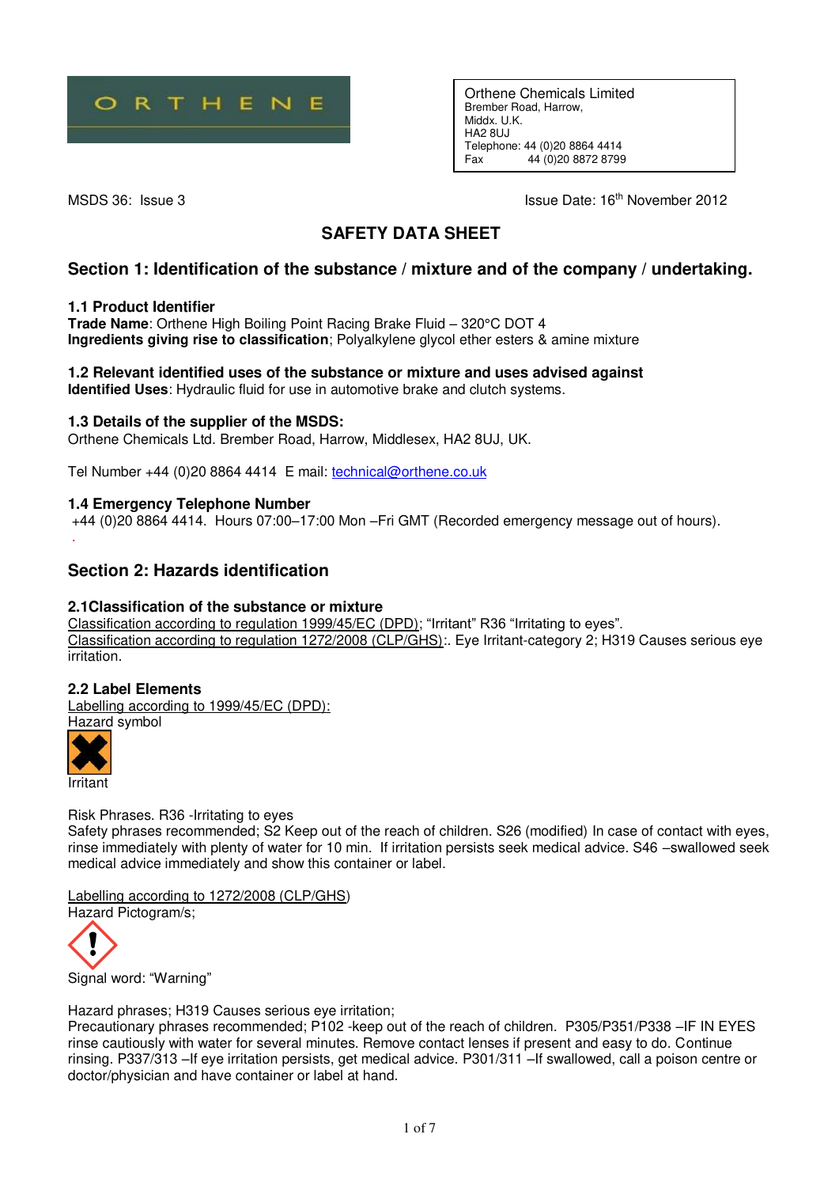

Orthene Chemicals Limited Brember Road, Harrow, Middx. U.K. HA2 8UJ Telephone: 44 (0) 20 8864 4414<br>Eax 44 (0) 20 8872 8799 Fax 44 (0)20 8872 8799

MSDS 36: Issue 3 Issue Date: 16<sup>th</sup> November 2012

# **SAFETY DATA SHEET**

# **Section 1: Identification of the substance / mixture and of the company / undertaking.**

### **1.1 Product Identifier**

**Trade Name**: Orthene High Boiling Point Racing Brake Fluid – 320°C DOT 4 **Ingredients giving rise to classification**; Polyalkylene glycol ether esters & amine mixture

# **1.2 Relevant identified uses of the substance or mixture and uses advised against**

**Identified Uses**: Hydraulic fluid for use in automotive brake and clutch systems.

## **1.3 Details of the supplier of the MSDS:**

Orthene Chemicals Ltd. Brember Road, Harrow, Middlesex, HA2 8UJ, UK.

Tel Number +44 (0)20 8864 4414 E mail: [technical@orthene.co.uk](mailto:technical@orthene.co.uk)

## **1.4 Emergency Telephone Number**

 +44 (0)20 8864 4414. Hours 07:00–17:00 Mon –Fri GMT (Recorded emergency message out of hours). .

# **Section 2: Hazards identification**

### **2.1Classification of the substance or mixture**

Classification according to regulation 1999/45/EC (DPD); "Irritant" R36 "Irritating to eyes". Classification according to regulation 1272/2008 (CLP/GHS):. Eye Irritant-category 2; H319 Causes serious eye irritation.

### **2.2 Label Elements**

Labelling according to 1999/45/EC (DPD):

Hazard symbol



Risk Phrases. R36 -Irritating to eyes

Safety phrases recommended; S2 Keep out of the reach of children. S26 (modified) In case of contact with eyes, rinse immediately with plenty of water for 10 min. If irritation persists seek medical advice. S46 –swallowed seek medical advice immediately and show this container or label.

Labelling according to 1272/2008 (CLP/GHS)

Hazard Pictogram/s;



Signal word: "Warning"

Hazard phrases; H319 Causes serious eye irritation;

Precautionary phrases recommended; P102 -keep out of the reach of children. P305/P351/P338 –IF IN EYES rinse cautiously with water for several minutes. Remove contact lenses if present and easy to do. Continue rinsing. P337/313 –If eye irritation persists, get medical advice. P301/311 –If swallowed, call a poison centre or doctor/physician and have container or label at hand.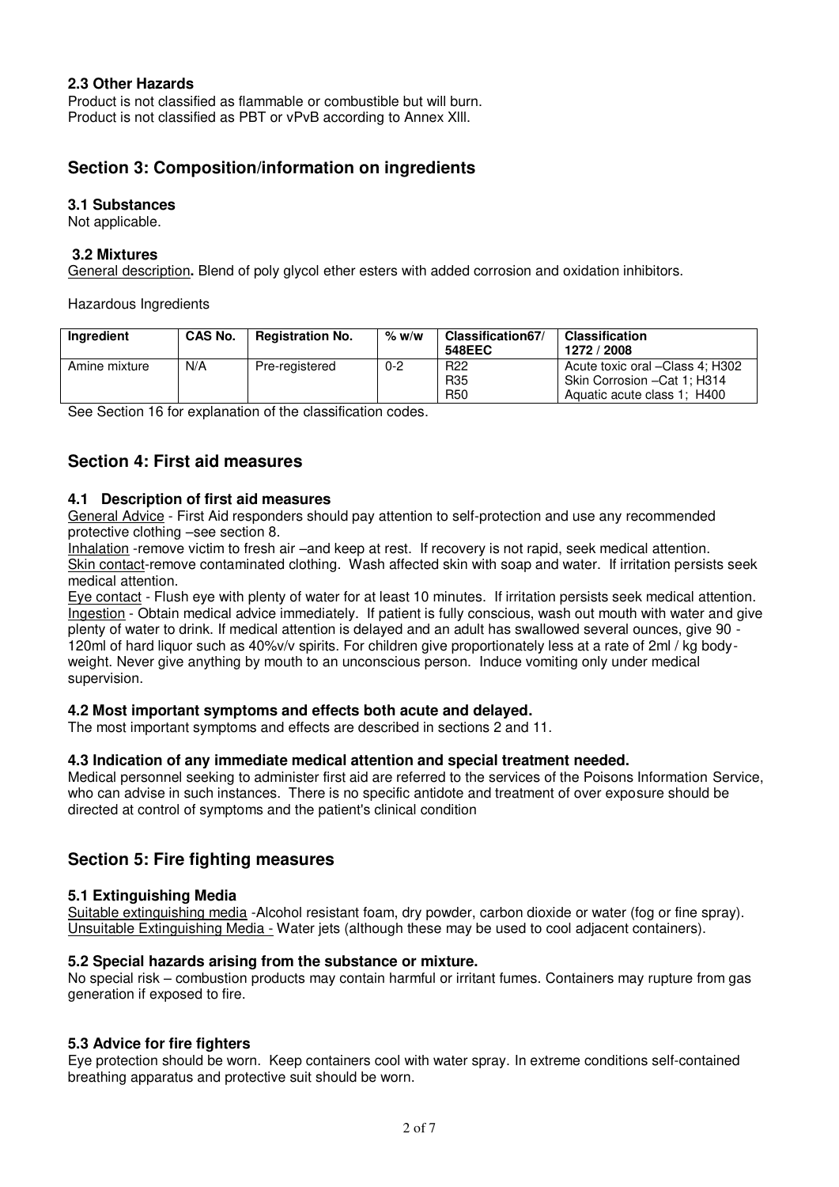## **2.3 Other Hazards**

Product is not classified as flammable or combustible but will burn. Product is not classified as PBT or vPvB according to Annex Xlll.

# **Section 3: Composition/information on ingredients**

### **3.1 Substances**

Not applicable.

### **3.2 Mixtures**

General description**.** Blend of poly glycol ether esters with added corrosion and oxidation inhibitors.

Hazardous Ingredients

| Ingredient    | <b>CAS No.</b> | <b>Registration No.</b> | % w/w   | Classification67/<br>548EEC                      | <b>Classification</b><br>1272 / 2008                                                           |
|---------------|----------------|-------------------------|---------|--------------------------------------------------|------------------------------------------------------------------------------------------------|
| Amine mixture | N/A            | Pre-registered          | $0 - 2$ | R <sub>22</sub><br>R <sub>35</sub><br><b>R50</b> | Acute toxic oral -Class 4: H302<br>Skin Corrosion - Cat 1: H314<br>Aquatic acute class 1; H400 |

See Section 16 for explanation of the classification codes.

# **Section 4: First aid measures**

### **4.1 Description of first aid measures**

General Advice - First Aid responders should pay attention to self-protection and use any recommended protective clothing –see section 8.

Inhalation -remove victim to fresh air –and keep at rest. If recovery is not rapid, seek medical attention. Skin contact-remove contaminated clothing. Wash affected skin with soap and water. If irritation persists seek medical attention.

Eye contact - Flush eye with plenty of water for at least 10 minutes. If irritation persists seek medical attention. Ingestion - Obtain medical advice immediately. If patient is fully conscious, wash out mouth with water and give plenty of water to drink. If medical attention is delayed and an adult has swallowed several ounces, give 90 - 120ml of hard liquor such as 40%v/v spirits. For children give proportionately less at a rate of 2ml / kg bodyweight. Never give anything by mouth to an unconscious person. Induce vomiting only under medical supervision.

### **4.2 Most important symptoms and effects both acute and delayed.**

The most important symptoms and effects are described in sections 2 and 11.

### **4.3 Indication of any immediate medical attention and special treatment needed.**

Medical personnel seeking to administer first aid are referred to the services of the Poisons Information Service, who can advise in such instances. There is no specific antidote and treatment of over exposure should be directed at control of symptoms and the patient's clinical condition

# **Section 5: Fire fighting measures**

### **5.1 Extinguishing Media**

Suitable extinguishing media -Alcohol resistant foam, dry powder, carbon dioxide or water (fog or fine spray). Unsuitable Extinguishing Media - Water jets (although these may be used to cool adjacent containers).

### **5.2 Special hazards arising from the substance or mixture.**

No special risk – combustion products may contain harmful or irritant fumes. Containers may rupture from gas generation if exposed to fire.

### **5.3 Advice for fire fighters**

Eye protection should be worn. Keep containers cool with water spray. In extreme conditions self-contained breathing apparatus and protective suit should be worn.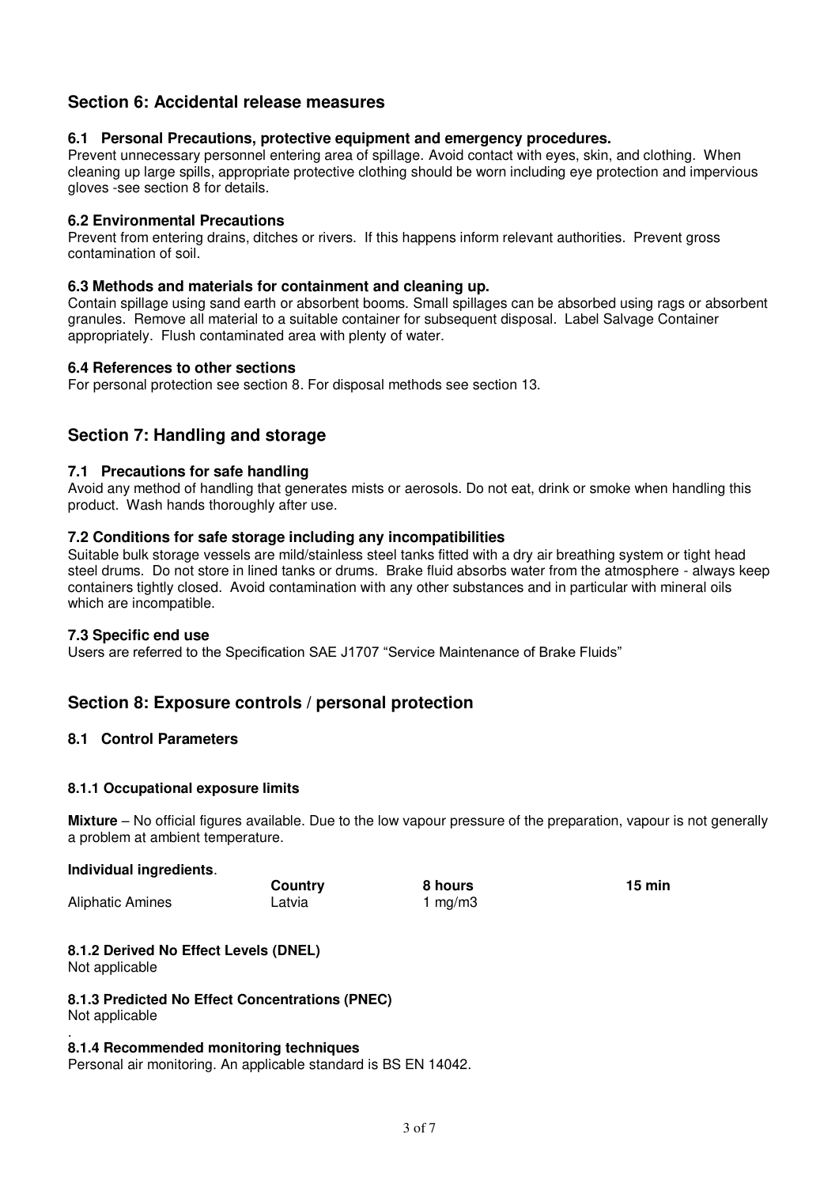# **Section 6: Accidental release measures**

### **6.1 Personal Precautions, protective equipment and emergency procedures.**

Prevent unnecessary personnel entering area of spillage. Avoid contact with eyes, skin, and clothing. When cleaning up large spills, appropriate protective clothing should be worn including eye protection and impervious gloves -see section 8 for details.

### **6.2 Environmental Precautions**

Prevent from entering drains, ditches or rivers. If this happens inform relevant authorities. Prevent gross contamination of soil.

### **6.3 Methods and materials for containment and cleaning up.**

Contain spillage using sand earth or absorbent booms. Small spillages can be absorbed using rags or absorbent granules. Remove all material to a suitable container for subsequent disposal. Label Salvage Container appropriately. Flush contaminated area with plenty of water.

### **6.4 References to other sections**

For personal protection see section 8. For disposal methods see section 13.

# **Section 7: Handling and storage**

### **7.1 Precautions for safe handling**

Avoid any method of handling that generates mists or aerosols. Do not eat, drink or smoke when handling this product. Wash hands thoroughly after use.

### **7.2 Conditions for safe storage including any incompatibilities**

Suitable bulk storage vessels are mild/stainless steel tanks fitted with a dry air breathing system or tight head steel drums. Do not store in lined tanks or drums. Brake fluid absorbs water from the atmosphere - always keep containers tightly closed. Avoid contamination with any other substances and in particular with mineral oils which are incompatible.

### **7.3 Specific end use**

Users are referred to the Specification SAE J1707 "Service Maintenance of Brake Fluids"

# **Section 8: Exposure controls / personal protection**

## **8.1 Control Parameters**

### **8.1.1 Occupational exposure limits**

**Mixture** – No official figures available. Due to the low vapour pressure of the preparation, vapour is not generally a problem at ambient temperature.

### **Individual ingredients**.

 **Country 8 hours 15 min** Aliphatic Amines Latvia Latvia 1 mg/m3

#### **8.1.2 Derived No Effect Levels (DNEL)** Not applicable

# **8.1.3 Predicted No Effect Concentrations (PNEC)**

Not applicable .

### **8.1.4 Recommended monitoring techniques**

Personal air monitoring. An applicable standard is BS EN 14042.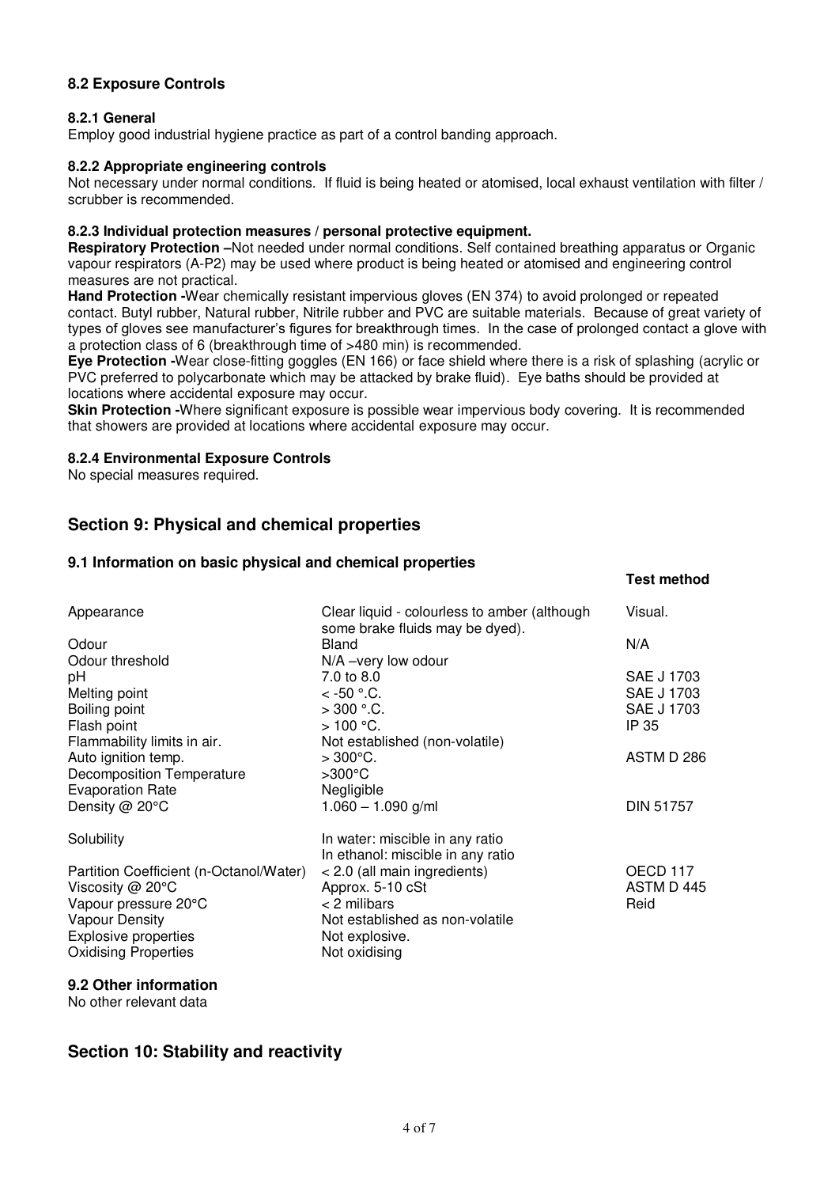# **8.2 Exposure Controls**

### **8.2.1 General**

Employ good industrial hygiene practice as part of a control banding approach.

### **8.2.2 Appropriate engineering controls**

Not necessary under normal conditions. If fluid is being heated or atomised, local exhaust ventilation with filter / scrubber is recommended.

### **8.2.3 Individual protection measures / personal protective equipment.**

**Respiratory Protection –**Not needed under normal conditions. Self contained breathing apparatus or Organic vapour respirators (A-P2) may be used where product is being heated or atomised and engineering control measures are not practical.

**Hand Protection -**Wear chemically resistant impervious gloves (EN 374) to avoid prolonged or repeated contact. Butyl rubber, Natural rubber, Nitrile rubber and PVC are suitable materials. Because of great variety of types of gloves see manufacturer's figures for breakthrough times. In the case of prolonged contact a glove with a protection class of 6 (breakthrough time of >480 min) is recommended.

**Eye Protection -**Wear close-fitting goggles (EN 166) or face shield where there is a risk of splashing (acrylic or PVC preferred to polycarbonate which may be attacked by brake fluid). Eye baths should be provided at locations where accidental exposure may occur.

**Skin Protection -**Where significant exposure is possible wear impervious body covering. It is recommended that showers are provided at locations where accidental exposure may occur.

**Test method** 

### **8.2.4 Environmental Exposure Controls**

No special measures required.

# **Section 9: Physical and chemical properties**

### **9.1 Information on basic physical and chemical properties**

| Appearance                              | Clear liquid - colourless to amber (although<br>some brake fluids may be dyed). | Visual.          |
|-----------------------------------------|---------------------------------------------------------------------------------|------------------|
| Odour                                   | Bland                                                                           | N/A              |
| Odour threshold                         | N/A -very low odour                                                             |                  |
| рH                                      | 7.0 to 8.0                                                                      | SAE J 1703       |
| Melting point                           | $<$ -50 ° C.                                                                    | SAE J 1703       |
| Boiling point                           | $>300$ °.C.                                                                     | SAE J 1703       |
| Flash point                             | $>100$ °C.                                                                      | IP 35            |
| Flammability limits in air.             | Not established (non-volatile)                                                  |                  |
| Auto ignition temp.                     | $>300^{\circ}$ C.                                                               | ASTM D 286       |
| <b>Decomposition Temperature</b>        | $>300^{\circ}$ C                                                                |                  |
| <b>Evaporation Rate</b>                 | Negligible                                                                      |                  |
| Density @ 20°C                          | $1.060 - 1.090$ g/ml                                                            | <b>DIN 51757</b> |
| Solubility                              | In water: miscible in any ratio<br>In ethanol: miscible in any ratio            |                  |
| Partition Coefficient (n-Octanol/Water) | < 2.0 (all main ingredients)                                                    | OECD 117         |
| Viscosity @ 20°C                        | Approx. 5-10 cSt                                                                | ASTM D 445       |
| Vapour pressure 20°C                    | $<$ 2 milibars                                                                  | Reid             |
| <b>Vapour Density</b>                   | Not established as non-volatile                                                 |                  |
| <b>Explosive properties</b>             | Not explosive.                                                                  |                  |
| <b>Oxidising Properties</b>             | Not oxidising                                                                   |                  |
|                                         |                                                                                 |                  |

### **9.2 Other information**

No other relevant data

# **Section 10: Stability and reactivity**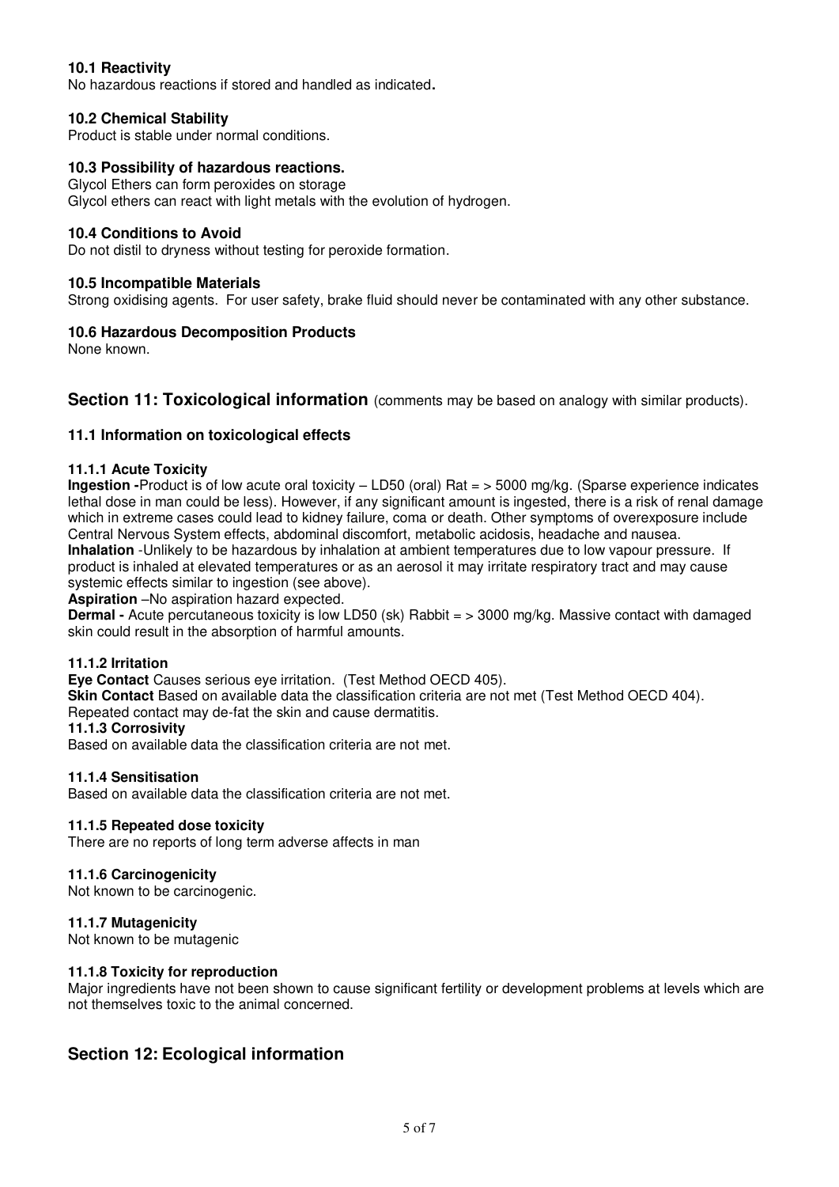# **10.1 Reactivity**

No hazardous reactions if stored and handled as indicated**.** 

### **10.2 Chemical Stability**

Product is stable under normal conditions.

### **10.3 Possibility of hazardous reactions.**

Glycol Ethers can form peroxides on storage Glycol ethers can react with light metals with the evolution of hydrogen.

### **10.4 Conditions to Avoid**

Do not distil to dryness without testing for peroxide formation.

### **10.5 Incompatible Materials**

Strong oxidising agents. For user safety, brake fluid should never be contaminated with any other substance.

### **10.6 Hazardous Decomposition Products**

None known.

### **Section 11: Toxicological information** (comments may be based on analogy with similar products).

### **11.1 Information on toxicological effects**

### **11.1.1 Acute Toxicity**

**Ingestion -**Product is of low acute oral toxicity – LD50 (oral) Rat = > 5000 mg/kg. (Sparse experience indicates lethal dose in man could be less). However, if any significant amount is ingested, there is a risk of renal damage which in extreme cases could lead to kidney failure, coma or death. Other symptoms of overexposure include Central Nervous System effects, abdominal discomfort, metabolic acidosis, headache and nausea. **Inhalation** -Unlikely to be hazardous by inhalation at ambient temperatures due to low vapour pressure. If product is inhaled at elevated temperatures or as an aerosol it may irritate respiratory tract and may cause systemic effects similar to ingestion (see above).

**Aspiration** –No aspiration hazard expected.

**Dermal -** Acute percutaneous toxicity is low LD50 (sk) Rabbit = > 3000 mg/kg. Massive contact with damaged skin could result in the absorption of harmful amounts.

### **11.1.2 Irritation**

**Eye Contact** Causes serious eye irritation. (Test Method OECD 405).

**Skin Contact** Based on available data the classification criteria are not met (Test Method OECD 404).

Repeated contact may de-fat the skin and cause dermatitis.

### **11.1.3 Corrosivity**

Based on available data the classification criteria are not met.

### **11.1.4 Sensitisation**

Based on available data the classification criteria are not met.

### **11.1.5 Repeated dose toxicity**

There are no reports of long term adverse affects in man

### **11.1.6 Carcinogenicity**

Not known to be carcinogenic.

### **11.1.7 Mutagenicity**

Not known to be mutagenic

### **11.1.8 Toxicity for reproduction**

Major ingredients have not been shown to cause significant fertility or development problems at levels which are not themselves toxic to the animal concerned.

# **Section 12: Ecological information**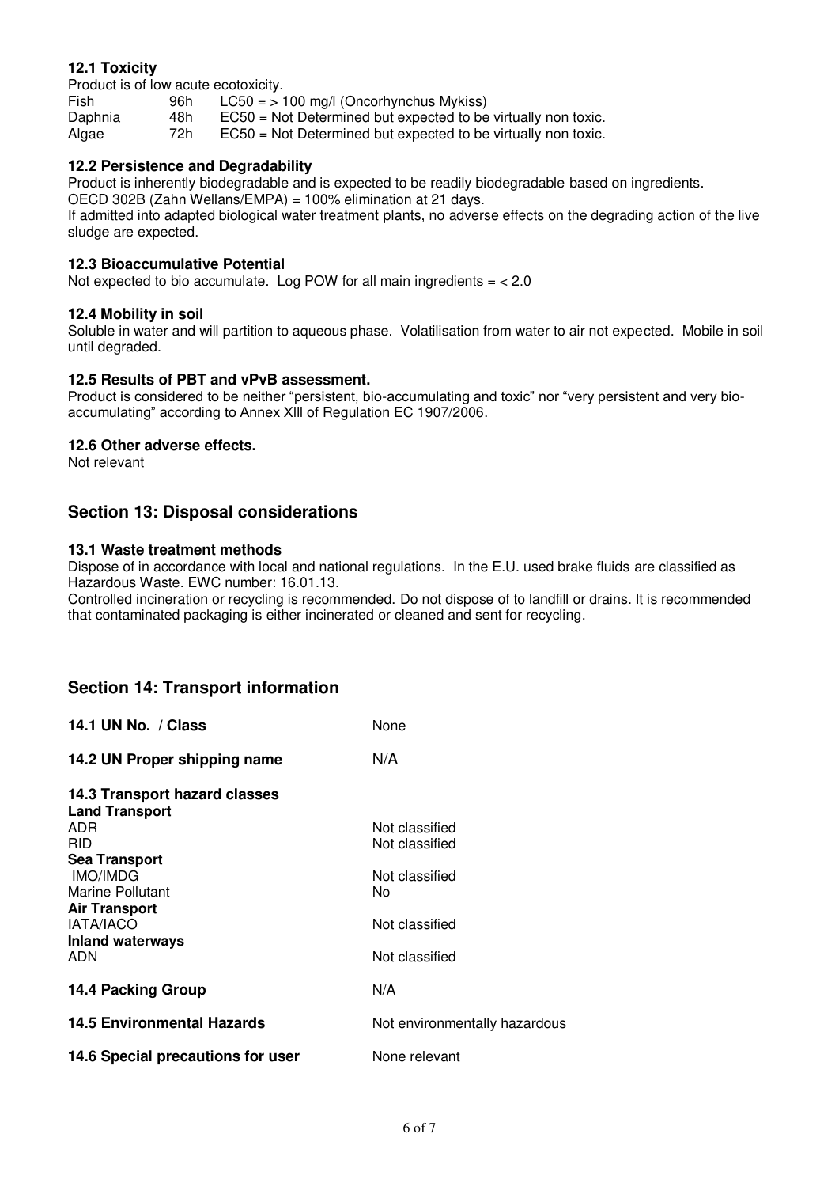# **12.1 Toxicity**

Product is of low acute ecotoxicity.<br>Fish 96h LC50 = >

 $LC50 = 100$  mg/l (Oncorhynchus Mykiss) Daphnia 48h EC50 = Not Determined but expected to be virtually non toxic.<br>Algae 72h EC50 = Not Determined but expected to be virtually non toxic. Algae 72h EC50 = Not Determined but expected to be virtually non toxic.

# **12.2 Persistence and Degradability**

Product is inherently biodegradable and is expected to be readily biodegradable based on ingredients.

OECD 302B (Zahn Wellans/EMPA) = 100% elimination at 21 days.

If admitted into adapted biological water treatment plants, no adverse effects on the degrading action of the live sludge are expected.

### **12.3 Bioaccumulative Potential**

Not expected to bio accumulate. Log POW for all main ingredients  $=$  < 2.0

### **12.4 Mobility in soil**

Soluble in water and will partition to aqueous phase. Volatilisation from water to air not expected. Mobile in soil until degraded.

### **12.5 Results of PBT and vPvB assessment.**

Product is considered to be neither "persistent, bio-accumulating and toxic" nor "very persistent and very bioaccumulating" according to Annex Xlll of Regulation EC 1907/2006.

### **12.6 Other adverse effects.**

Not relevant

# **Section 13: Disposal considerations**

### **13.1 Waste treatment methods**

Dispose of in accordance with local and national regulations. In the E.U. used brake fluids are classified as Hazardous Waste. EWC number: 16.01.13.

Controlled incineration or recycling is recommended. Do not dispose of to landfill or drains. It is recommended that contaminated packaging is either incinerated or cleaned and sent for recycling.

# **Section 14: Transport information**

| 14.1 UN No. / Class                                                | None                             |
|--------------------------------------------------------------------|----------------------------------|
| 14.2 UN Proper shipping name                                       | N/A                              |
| 14.3 Transport hazard classes<br><b>Land Transport</b>             |                                  |
| ADR<br><b>RID</b>                                                  | Not classified<br>Not classified |
| <b>Sea Transport</b><br><b>IMO/IMDG</b><br><b>Marine Pollutant</b> | Not classified<br>No             |
| <b>Air Transport</b><br><b>IATA/IACO</b>                           | Not classified                   |
| <b>Inland waterways</b><br>ADN                                     | Not classified                   |
| 14.4 Packing Group                                                 | N/A                              |
| 14.5 Environmental Hazards                                         | Not environmentally hazardous    |
| 14.6 Special precautions for user                                  | None relevant                    |